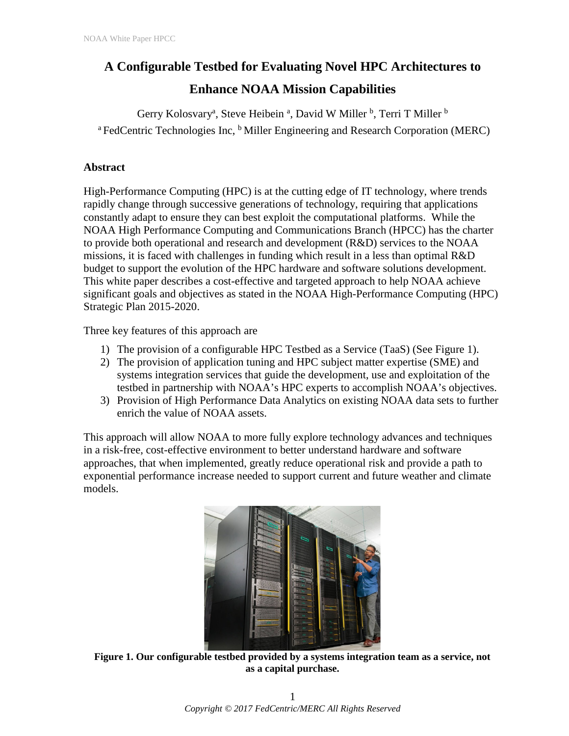# **A Configurable Testbed for Evaluating Novel HPC Architectures to**

# **Enhance NOAA Mission Capabilities**

Gerry Kolosvary<sup>a</sup>, Steve Heibein <sup>a</sup>, David W Miller <sup>b</sup>, Terri T Miller <sup>b</sup> <sup>a</sup> FedCentric Technologies Inc, <sup>b</sup> Miller Engineering and Research Corporation (MERC)

## **Abstract**

High-Performance Computing (HPC) is at the cutting edge of IT technology, where trends rapidly change through successive generations of technology, requiring that applications constantly adapt to ensure they can best exploit the computational platforms. While the NOAA High Performance Computing and Communications Branch (HPCC) has the charter to provide both operational and research and development (R&D) services to the NOAA missions, it is faced with challenges in funding which result in a less than optimal R&D budget to support the evolution of the HPC hardware and software solutions development. This white paper describes a cost-effective and targeted approach to help NOAA achieve significant goals and objectives as stated in the NOAA High-Performance Computing (HPC) Strategic Plan 2015-2020.

Three key features of this approach are

- 1) The provision of a configurable HPC Testbed as a Service (TaaS) (See Figure 1).
- 2) The provision of application tuning and HPC subject matter expertise (SME) and systems integration services that guide the development, use and exploitation of the testbed in partnership with NOAA's HPC experts to accomplish NOAA's objectives.
- 3) Provision of High Performance Data Analytics on existing NOAA data sets to further enrich the value of NOAA assets.

This approach will allow NOAA to more fully explore technology advances and techniques in a risk-free, cost-effective environment to better understand hardware and software approaches, that when implemented, greatly reduce operational risk and provide a path to exponential performance increase needed to support current and future weather and climate models.



**Figure 1. Our configurable testbed provided by a systems integration team as a service, not as a capital purchase.**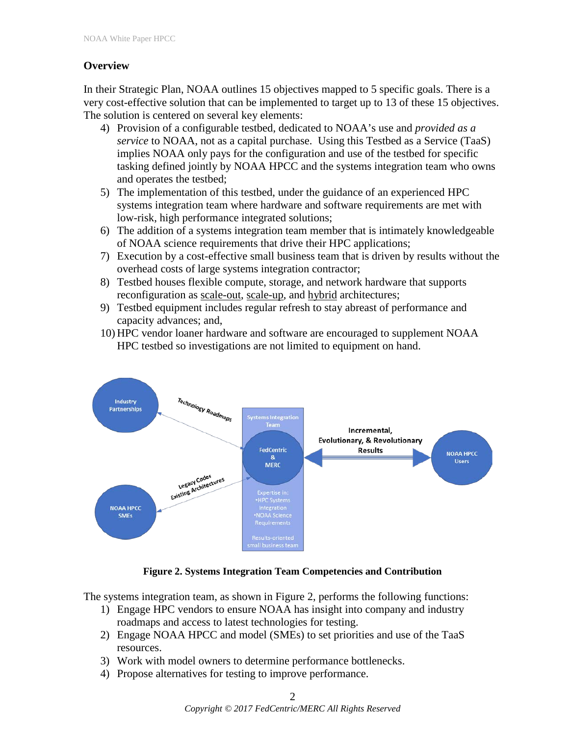## **Overview**

In their Strategic Plan, NOAA outlines 15 objectives mapped to 5 specific goals. There is a very cost-effective solution that can be implemented to target up to 13 of these 15 objectives. The solution is centered on several key elements:

- 4) Provision of a configurable testbed, dedicated to NOAA's use and *provided as a service* to NOAA, not as a capital purchase. Using this Testbed as a Service (TaaS) implies NOAA only pays for the configuration and use of the testbed for specific tasking defined jointly by NOAA HPCC and the systems integration team who owns and operates the testbed;
- 5) The implementation of this testbed, under the guidance of an experienced HPC systems integration team where hardware and software requirements are met with low-risk, high performance integrated solutions;
- 6) The addition of a systems integration team member that is intimately knowledgeable of NOAA science requirements that drive their HPC applications;
- 7) Execution by a cost-effective small business team that is driven by results without the overhead costs of large systems integration contractor;
- 8) Testbed houses flexible compute, storage, and network hardware that supports reconfiguration as scale-out, scale-up, and hybrid architectures;
- 9) Testbed equipment includes regular refresh to stay abreast of performance and capacity advances; and,
- 10) HPC vendor loaner hardware and software are encouraged to supplement NOAA HPC testbed so investigations are not limited to equipment on hand.



## **Figure 2. Systems Integration Team Competencies and Contribution**

The systems integration team, as shown in Figure 2, performs the following functions:

- 1) Engage HPC vendors to ensure NOAA has insight into company and industry roadmaps and access to latest technologies for testing.
- 2) Engage NOAA HPCC and model (SMEs) to set priorities and use of the TaaS resources.
- 3) Work with model owners to determine performance bottlenecks.
- 4) Propose alternatives for testing to improve performance.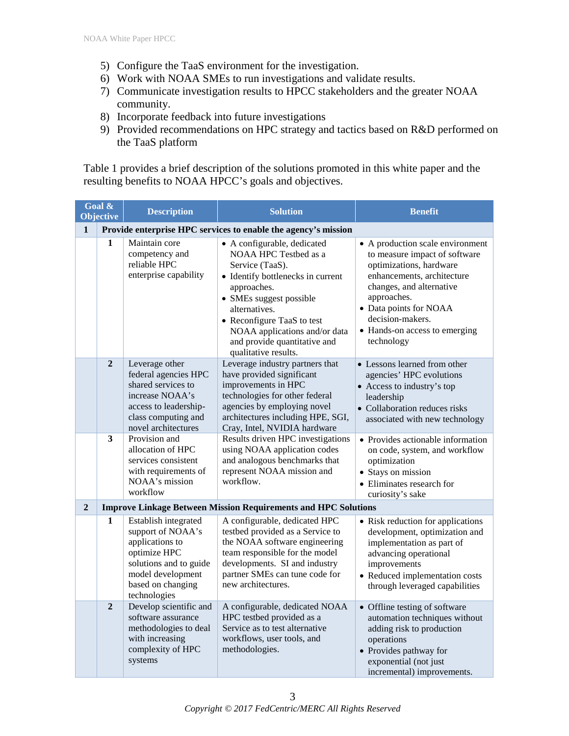- 5) Configure the TaaS environment for the investigation.
- 6) Work with NOAA SMEs to run investigations and validate results.
- 7) Communicate investigation results to HPCC stakeholders and the greater NOAA community.
- 8) Incorporate feedback into future investigations
- 9) Provided recommendations on HPC strategy and tactics based on R&D performed on the TaaS platform

Table 1 provides a brief description of the solutions promoted in this white paper and the resulting benefits to NOAA HPCC's goals and objectives.

| Goal &<br><b>Objective</b> |                | <b>Description</b>                                                                                                                                               | <b>Solution</b>                                                                                                                                                                                                                                                                                | <b>Benefit</b>                                                                                                                                                                                                                                                     |  |  |
|----------------------------|----------------|------------------------------------------------------------------------------------------------------------------------------------------------------------------|------------------------------------------------------------------------------------------------------------------------------------------------------------------------------------------------------------------------------------------------------------------------------------------------|--------------------------------------------------------------------------------------------------------------------------------------------------------------------------------------------------------------------------------------------------------------------|--|--|
| $\mathbf{1}$               |                | Provide enterprise HPC services to enable the agency's mission                                                                                                   |                                                                                                                                                                                                                                                                                                |                                                                                                                                                                                                                                                                    |  |  |
|                            | $\mathbf{1}$   | Maintain core<br>competency and<br>reliable HPC<br>enterprise capability                                                                                         | • A configurable, dedicated<br>NOAA HPC Testbed as a<br>Service (TaaS).<br>• Identify bottlenecks in current<br>approaches.<br>• SMEs suggest possible<br>alternatives.<br>• Reconfigure TaaS to test<br>NOAA applications and/or data<br>and provide quantitative and<br>qualitative results. | • A production scale environment<br>to measure impact of software<br>optimizations, hardware<br>enhancements, architecture<br>changes, and alternative<br>approaches.<br>• Data points for NOAA<br>decision-makers.<br>• Hands-on access to emerging<br>technology |  |  |
|                            | $\overline{2}$ | Leverage other<br>federal agencies HPC<br>shared services to<br>increase NOAA's<br>access to leadership-<br>class computing and<br>novel architectures           | Leverage industry partners that<br>have provided significant<br>improvements in HPC<br>technologies for other federal<br>agencies by employing novel<br>architectures including HPE, SGI,<br>Cray, Intel, NVIDIA hardware                                                                      | • Lessons learned from other<br>agencies' HPC evolutions<br>• Access to industry's top<br>leadership<br>• Collaboration reduces risks<br>associated with new technology                                                                                            |  |  |
|                            | 3              | Provision and<br>allocation of HPC<br>services consistent<br>with requirements of<br>NOAA's mission<br>workflow                                                  | Results driven HPC investigations<br>using NOAA application codes<br>and analogous benchmarks that<br>represent NOAA mission and<br>workflow.                                                                                                                                                  | • Provides actionable information<br>on code, system, and workflow<br>optimization<br>• Stays on mission<br>• Eliminates research for<br>curiosity's sake                                                                                                          |  |  |
| $\overline{2}$             |                | <b>Improve Linkage Between Mission Requirements and HPC Solutions</b>                                                                                            |                                                                                                                                                                                                                                                                                                |                                                                                                                                                                                                                                                                    |  |  |
|                            | 1              | Establish integrated<br>support of NOAA's<br>applications to<br>optimize HPC<br>solutions and to guide<br>model development<br>based on changing<br>technologies | A configurable, dedicated HPC<br>testbed provided as a Service to<br>the NOAA software engineering<br>team responsible for the model<br>developments. SI and industry<br>partner SMEs can tune code for<br>new architectures.                                                                  | • Risk reduction for applications<br>development, optimization and<br>implementation as part of<br>advancing operational<br>improvements<br>• Reduced implementation costs<br>through leveraged capabilities                                                       |  |  |
|                            | $\overline{2}$ | Develop scientific and<br>software assurance<br>methodologies to deal<br>with increasing<br>complexity of HPC<br>systems                                         | A configurable, dedicated NOAA<br>HPC testbed provided as a<br>Service as to test alternative<br>workflows, user tools, and<br>methodologies.                                                                                                                                                  | • Offline testing of software<br>automation techniques without<br>adding risk to production<br>operations<br>• Provides pathway for<br>exponential (not just<br>incremental) improvements.                                                                         |  |  |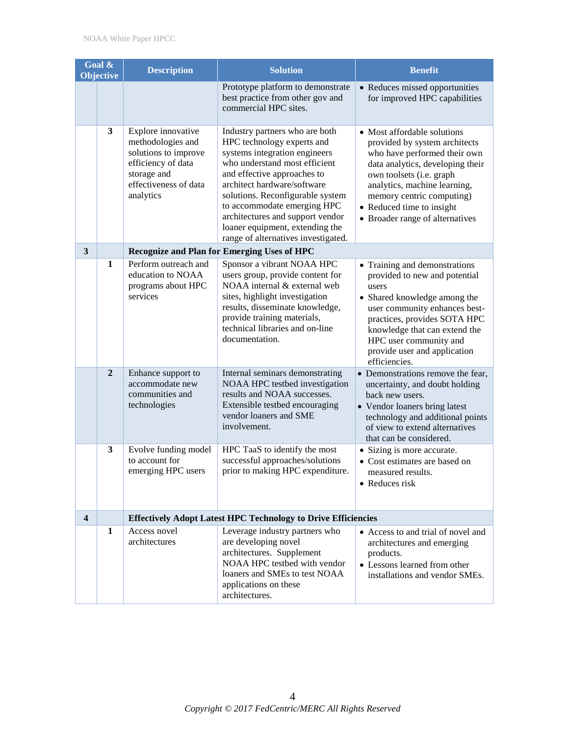| Goal &<br><b>Objective</b> |                | <b>Description</b>                                                                                                                         | <b>Solution</b>                                                                                                                                                                                                                                                                                                                                                               | <b>Benefit</b>                                                                                                                                                                                                                                                                            |  |
|----------------------------|----------------|--------------------------------------------------------------------------------------------------------------------------------------------|-------------------------------------------------------------------------------------------------------------------------------------------------------------------------------------------------------------------------------------------------------------------------------------------------------------------------------------------------------------------------------|-------------------------------------------------------------------------------------------------------------------------------------------------------------------------------------------------------------------------------------------------------------------------------------------|--|
|                            |                |                                                                                                                                            | Prototype platform to demonstrate<br>best practice from other gov and<br>commercial HPC sites.                                                                                                                                                                                                                                                                                | • Reduces missed opportunities<br>for improved HPC capabilities                                                                                                                                                                                                                           |  |
|                            | 3              | Explore innovative<br>methodologies and<br>solutions to improve<br>efficiency of data<br>storage and<br>effectiveness of data<br>analytics | Industry partners who are both<br>HPC technology experts and<br>systems integration engineers<br>who understand most efficient<br>and effective approaches to<br>architect hardware/software<br>solutions. Reconfigurable system<br>to accommodate emerging HPC<br>architectures and support vendor<br>loaner equipment, extending the<br>range of alternatives investigated. | • Most affordable solutions<br>provided by system architects<br>who have performed their own<br>data analytics, developing their<br>own toolsets (i.e. graph<br>analytics, machine learning,<br>memory centric computing)<br>• Reduced time to insight<br>• Broader range of alternatives |  |
| 3                          |                |                                                                                                                                            | Recognize and Plan for Emerging Uses of HPC                                                                                                                                                                                                                                                                                                                                   |                                                                                                                                                                                                                                                                                           |  |
|                            | 1              | Perform outreach and<br>education to NOAA<br>programs about HPC<br>services                                                                | Sponsor a vibrant NOAA HPC<br>users group, provide content for<br>NOAA internal & external web<br>sites, highlight investigation<br>results, disseminate knowledge,<br>provide training materials,<br>technical libraries and on-line<br>documentation.                                                                                                                       | • Training and demonstrations<br>provided to new and potential<br>users<br>• Shared knowledge among the<br>user community enhances best-<br>practices, provides SOTA HPC<br>knowledge that can extend the<br>HPC user community and<br>provide user and application<br>efficiencies.      |  |
|                            | $\overline{2}$ | Enhance support to<br>accommodate new<br>communities and<br>technologies                                                                   | Internal seminars demonstrating<br>NOAA HPC testbed investigation<br>results and NOAA successes.<br>Extensible testbed encouraging<br>vendor loaners and SME<br>involvement.                                                                                                                                                                                                  | • Demonstrations remove the fear,<br>uncertainty, and doubt holding<br>back new users.<br>• Vendor loaners bring latest<br>technology and additional points<br>of view to extend alternatives<br>that can be considered.                                                                  |  |
|                            | 3              | Evolve funding model<br>to account for<br>emerging HPC users                                                                               | HPC TaaS to identify the most<br>successful approaches/solutions<br>prior to making HPC expenditure.                                                                                                                                                                                                                                                                          | • Sizing is more accurate.<br>• Cost estimates are based on<br>measured results.<br>• Reduces risk                                                                                                                                                                                        |  |
| 4                          |                | <b>Effectively Adopt Latest HPC Technology to Drive Efficiencies</b>                                                                       |                                                                                                                                                                                                                                                                                                                                                                               |                                                                                                                                                                                                                                                                                           |  |
|                            | 1              | Access novel<br>architectures                                                                                                              | Leverage industry partners who<br>are developing novel<br>architectures. Supplement<br>NOAA HPC testbed with vendor<br>loaners and SMEs to test NOAA<br>applications on these<br>architectures.                                                                                                                                                                               | • Access to and trial of novel and<br>architectures and emerging<br>products.<br>• Lessons learned from other<br>installations and vendor SMEs.                                                                                                                                           |  |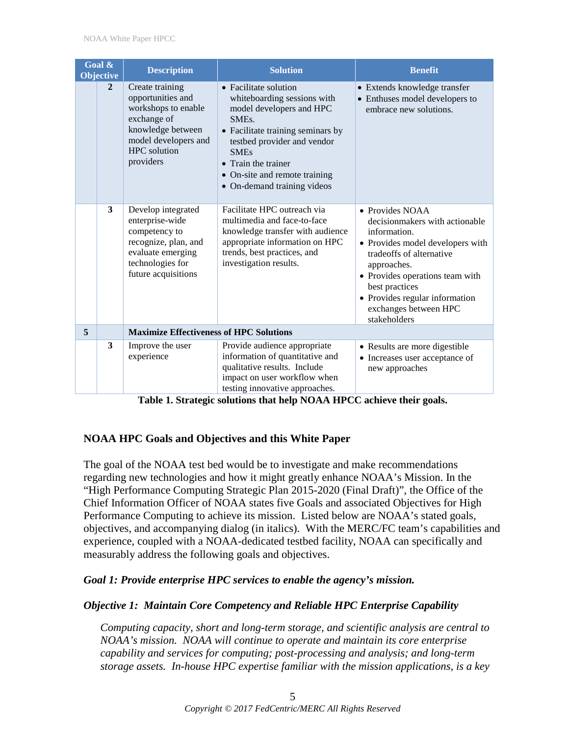| Goal &<br><b>Objective</b> |              | <b>Description</b>                                                                                                                                          | <b>Solution</b>                                                                                                                                                                                                                                                                  | <b>Benefit</b>                                                                                                                                                                                                                                                                   |
|----------------------------|--------------|-------------------------------------------------------------------------------------------------------------------------------------------------------------|----------------------------------------------------------------------------------------------------------------------------------------------------------------------------------------------------------------------------------------------------------------------------------|----------------------------------------------------------------------------------------------------------------------------------------------------------------------------------------------------------------------------------------------------------------------------------|
|                            | $\mathbf{2}$ | Create training<br>opportunities and<br>workshops to enable<br>exchange of<br>knowledge between<br>model developers and<br><b>HPC</b> solution<br>providers | • Facilitate solution<br>whiteboarding sessions with<br>model developers and HPC<br>SME <sub>s</sub> .<br>• Facilitate training seminars by<br>testbed provider and vendor<br><b>SMEs</b><br>• Train the trainer<br>• On-site and remote training<br>• On-demand training videos | • Extends knowledge transfer<br>• Enthuses model developers to<br>embrace new solutions.                                                                                                                                                                                         |
|                            | 3            | Develop integrated<br>enterprise-wide<br>competency to<br>recognize, plan, and<br>evaluate emerging<br>technologies for<br>future acquisitions              | Facilitate HPC outreach via<br>multimedia and face-to-face<br>knowledge transfer with audience<br>appropriate information on HPC<br>trends, best practices, and<br>investigation results.                                                                                        | • Provides NOAA<br>decisionmakers with actionable<br>information.<br>• Provides model developers with<br>tradeoffs of alternative<br>approaches.<br>• Provides operations team with<br>best practices<br>• Provides regular information<br>exchanges between HPC<br>stakeholders |
| 5                          |              | <b>Maximize Effectiveness of HPC Solutions</b>                                                                                                              |                                                                                                                                                                                                                                                                                  |                                                                                                                                                                                                                                                                                  |
|                            | 3            | Improve the user<br>experience                                                                                                                              | Provide audience appropriate<br>information of quantitative and<br>qualitative results. Include<br>impact on user workflow when<br>testing innovative approaches.                                                                                                                | • Results are more digestible<br>• Increases user acceptance of<br>new approaches                                                                                                                                                                                                |

**Table 1. Strategic solutions that help NOAA HPCC achieve their goals.**

## **NOAA HPC Goals and Objectives and this White Paper**

The goal of the NOAA test bed would be to investigate and make recommendations regarding new technologies and how it might greatly enhance NOAA's Mission. In the "High Performance Computing Strategic Plan 2015-2020 (Final Draft)", the Office of the Chief Information Officer of NOAA states five Goals and associated Objectives for High Performance Computing to achieve its mission. Listed below are NOAA's stated goals, objectives, and accompanying dialog (in italics). With the MERC/FC team's capabilities and experience, coupled with a NOAA-dedicated testbed facility, NOAA can specifically and measurably address the following goals and objectives.

## *Goal 1: Provide enterprise HPC services to enable the agency's mission.*

## *Objective 1: Maintain Core Competency and Reliable HPC Enterprise Capability*

*Computing capacity, short and long-term storage, and scientific analysis are central to NOAA's mission. NOAA will continue to operate and maintain its core enterprise capability and services for computing; post-processing and analysis; and long-term storage assets. In-house HPC expertise familiar with the mission applications, is a key*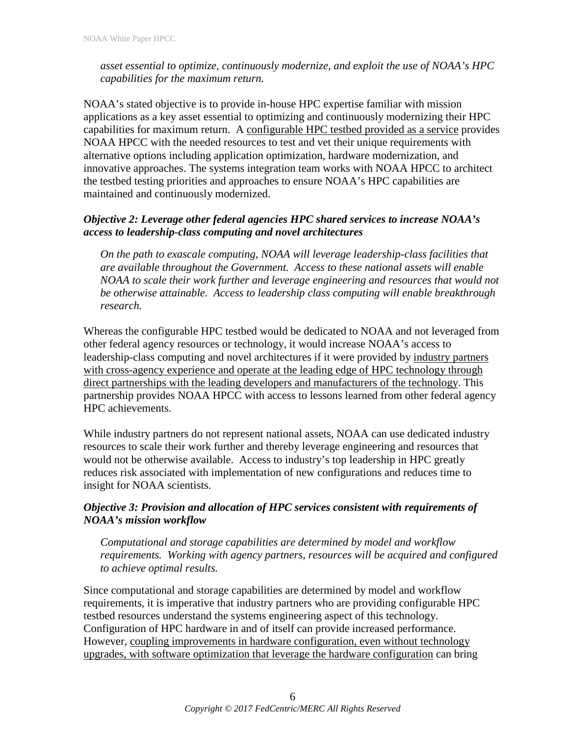*asset essential to optimize, continuously modernize, and exploit the use of NOAA's HPC capabilities for the maximum return.*

NOAA's stated objective is to provide in-house HPC expertise familiar with mission applications as a key asset essential to optimizing and continuously modernizing their HPC capabilities for maximum return. A configurable HPC testbed provided as a service provides NOAA HPCC with the needed resources to test and vet their unique requirements with alternative options including application optimization, hardware modernization, and innovative approaches. The systems integration team works with NOAA HPCC to architect the testbed testing priorities and approaches to ensure NOAA's HPC capabilities are maintained and continuously modernized.

## *Objective 2: Leverage other federal agencies HPC shared services to increase NOAA's access to leadership-class computing and novel architectures*

*On the path to exascale computing, NOAA will leverage leadership-class facilities that are available throughout the Government. Access to these national assets will enable NOAA to scale their work further and leverage engineering and resources that would not be otherwise attainable. Access to leadership class computing will enable breakthrough research.* 

Whereas the configurable HPC testbed would be dedicated to NOAA and not leveraged from other federal agency resources or technology, it would increase NOAA's access to leadership-class computing and novel architectures if it were provided by industry partners with cross-agency experience and operate at the leading edge of HPC technology through direct partnerships with the leading developers and manufacturers of the technology. This partnership provides NOAA HPCC with access to lessons learned from other federal agency HPC achievements.

While industry partners do not represent national assets, NOAA can use dedicated industry resources to scale their work further and thereby leverage engineering and resources that would not be otherwise available. Access to industry's top leadership in HPC greatly reduces risk associated with implementation of new configurations and reduces time to insight for NOAA scientists.

## *Objective 3: Provision and allocation of HPC services consistent with requirements of NOAA's mission workflow*

*Computational and storage capabilities are determined by model and workflow requirements. Working with agency partners, resources will be acquired and configured to achieve optimal results.* 

Since computational and storage capabilities are determined by model and workflow requirements, it is imperative that industry partners who are providing configurable HPC testbed resources understand the systems engineering aspect of this technology. Configuration of HPC hardware in and of itself can provide increased performance. However, coupling improvements in hardware configuration, even without technology upgrades, with software optimization that leverage the hardware configuration can bring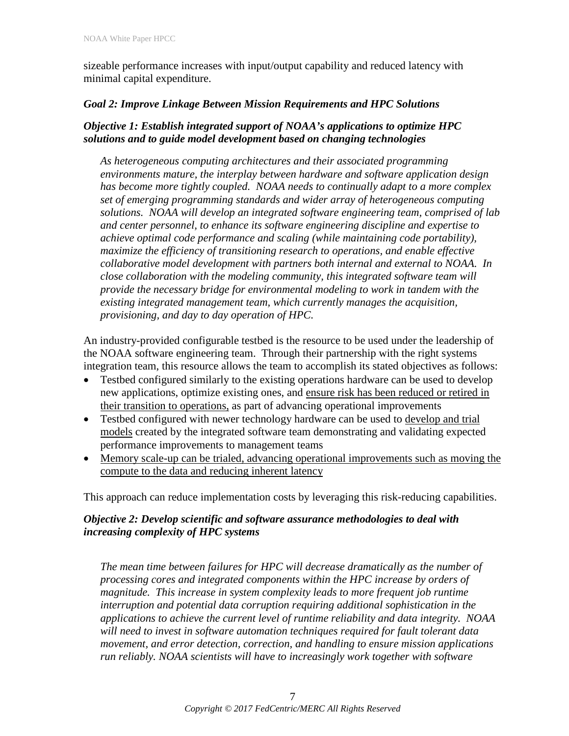sizeable performance increases with input/output capability and reduced latency with minimal capital expenditure.

## *Goal 2: Improve Linkage Between Mission Requirements and HPC Solutions*

## *Objective 1: Establish integrated support of NOAA's applications to optimize HPC solutions and to guide model development based on changing technologies*

*As heterogeneous computing architectures and their associated programming environments mature, the interplay between hardware and software application design has become more tightly coupled. NOAA needs to continually adapt to a more complex set of emerging programming standards and wider array of heterogeneous computing solutions. NOAA will develop an integrated software engineering team, comprised of lab and center personnel, to enhance its software engineering discipline and expertise to achieve optimal code performance and scaling (while maintaining code portability), maximize the efficiency of transitioning research to operations, and enable effective collaborative model development with partners both internal and external to NOAA. In close collaboration with the modeling community, this integrated software team will provide the necessary bridge for environmental modeling to work in tandem with the existing integrated management team, which currently manages the acquisition, provisioning, and day to day operation of HPC.* 

An industry-provided configurable testbed is the resource to be used under the leadership of the NOAA software engineering team. Through their partnership with the right systems integration team, this resource allows the team to accomplish its stated objectives as follows:

- Testbed configured similarly to the existing operations hardware can be used to develop new applications, optimize existing ones, and ensure risk has been reduced or retired in their transition to operations, as part of advancing operational improvements
- Testbed configured with newer technology hardware can be used to develop and trial models created by the integrated software team demonstrating and validating expected performance improvements to management teams
- Memory scale-up can be trialed, advancing operational improvements such as moving the compute to the data and reducing inherent latency

This approach can reduce implementation costs by leveraging this risk-reducing capabilities.

## *Objective 2: Develop scientific and software assurance methodologies to deal with increasing complexity of HPC systems*

*The mean time between failures for HPC will decrease dramatically as the number of processing cores and integrated components within the HPC increase by orders of magnitude. This increase in system complexity leads to more frequent job runtime interruption and potential data corruption requiring additional sophistication in the applications to achieve the current level of runtime reliability and data integrity. NOAA will need to invest in software automation techniques required for fault tolerant data movement, and error detection, correction, and handling to ensure mission applications run reliably. NOAA scientists will have to increasingly work together with software*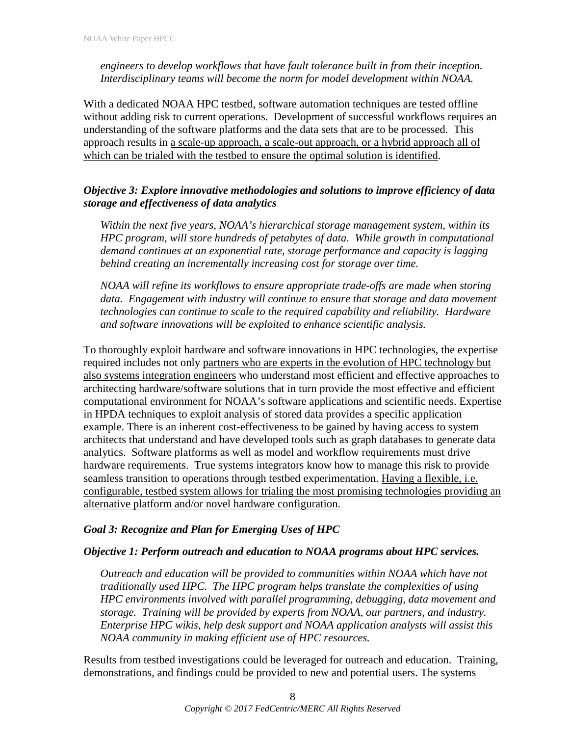*engineers to develop workflows that have fault tolerance built in from their inception. Interdisciplinary teams will become the norm for model development within NOAA.*

With a dedicated NOAA HPC testbed, software automation techniques are tested offline without adding risk to current operations. Development of successful workflows requires an understanding of the software platforms and the data sets that are to be processed. This approach results in a scale-up approach, a scale-out approach, or a hybrid approach all of which can be trialed with the testbed to ensure the optimal solution is identified.

## *Objective 3: Explore innovative methodologies and solutions to improve efficiency of data storage and effectiveness of data analytics*

*Within the next five years, NOAA's hierarchical storage management system, within its HPC program, will store hundreds of petabytes of data. While growth in computational demand continues at an exponential rate, storage performance and capacity is lagging behind creating an incrementally increasing cost for storage over time.* 

*NOAA will refine its workflows to ensure appropriate trade-offs are made when storing data. Engagement with industry will continue to ensure that storage and data movement technologies can continue to scale to the required capability and reliability. Hardware and software innovations will be exploited to enhance scientific analysis.*

To thoroughly exploit hardware and software innovations in HPC technologies, the expertise required includes not only partners who are experts in the evolution of HPC technology but also systems integration engineers who understand most efficient and effective approaches to architecting hardware/software solutions that in turn provide the most effective and efficient computational environment for NOAA's software applications and scientific needs. Expertise in HPDA techniques to exploit analysis of stored data provides a specific application example. There is an inherent cost-effectiveness to be gained by having access to system architects that understand and have developed tools such as graph databases to generate data analytics. Software platforms as well as model and workflow requirements must drive hardware requirements. True systems integrators know how to manage this risk to provide seamless transition to operations through testbed experimentation. Having a flexible, i.e. configurable, testbed system allows for trialing the most promising technologies providing an alternative platform and/or novel hardware configuration.

#### *Goal 3: Recognize and Plan for Emerging Uses of HPC*

#### *Objective 1: Perform outreach and education to NOAA programs about HPC services.*

*Outreach and education will be provided to communities within NOAA which have not traditionally used HPC. The HPC program helps translate the complexities of using HPC environments involved with parallel programming, debugging, data movement and storage. Training will be provided by experts from NOAA, our partners, and industry. Enterprise HPC wikis, help desk support and NOAA application analysts will assist this NOAA community in making efficient use of HPC resources.*

Results from testbed investigations could be leveraged for outreach and education. Training, demonstrations, and findings could be provided to new and potential users. The systems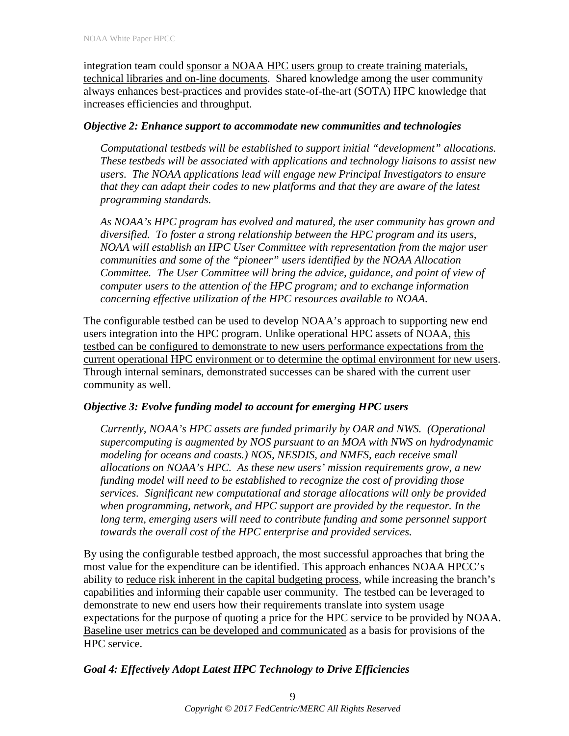integration team could sponsor a NOAA HPC users group to create training materials, technical libraries and on-line documents. Shared knowledge among the user community always enhances best-practices and provides state-of-the-art (SOTA) HPC knowledge that increases efficiencies and throughput.

#### *Objective 2: Enhance support to accommodate new communities and technologies*

*Computational testbeds will be established to support initial "development" allocations. These testbeds will be associated with applications and technology liaisons to assist new users. The NOAA applications lead will engage new Principal Investigators to ensure that they can adapt their codes to new platforms and that they are aware of the latest programming standards.*

*As NOAA's HPC program has evolved and matured, the user community has grown and diversified. To foster a strong relationship between the HPC program and its users, NOAA will establish an HPC User Committee with representation from the major user communities and some of the "pioneer" users identified by the NOAA Allocation Committee. The User Committee will bring the advice, guidance, and point of view of computer users to the attention of the HPC program; and to exchange information concerning effective utilization of the HPC resources available to NOAA.*

The configurable testbed can be used to develop NOAA's approach to supporting new end users integration into the HPC program. Unlike operational HPC assets of NOAA, this testbed can be configured to demonstrate to new users performance expectations from the current operational HPC environment or to determine the optimal environment for new users. Through internal seminars, demonstrated successes can be shared with the current user community as well.

#### *Objective 3: Evolve funding model to account for emerging HPC users*

*Currently, NOAA's HPC assets are funded primarily by OAR and NWS. (Operational supercomputing is augmented by NOS pursuant to an MOA with NWS on hydrodynamic modeling for oceans and coasts.) NOS, NESDIS, and NMFS, each receive small allocations on NOAA's HPC. As these new users' mission requirements grow, a new funding model will need to be established to recognize the cost of providing those services. Significant new computational and storage allocations will only be provided when programming, network, and HPC support are provided by the requestor. In the*  long term, emerging users will need to contribute funding and some personnel support *towards the overall cost of the HPC enterprise and provided services.*

By using the configurable testbed approach, the most successful approaches that bring the most value for the expenditure can be identified. This approach enhances NOAA HPCC's ability to reduce risk inherent in the capital budgeting process, while increasing the branch's capabilities and informing their capable user community. The testbed can be leveraged to demonstrate to new end users how their requirements translate into system usage expectations for the purpose of quoting a price for the HPC service to be provided by NOAA. Baseline user metrics can be developed and communicated as a basis for provisions of the HPC service.

## *Goal 4: Effectively Adopt Latest HPC Technology to Drive Efficiencies*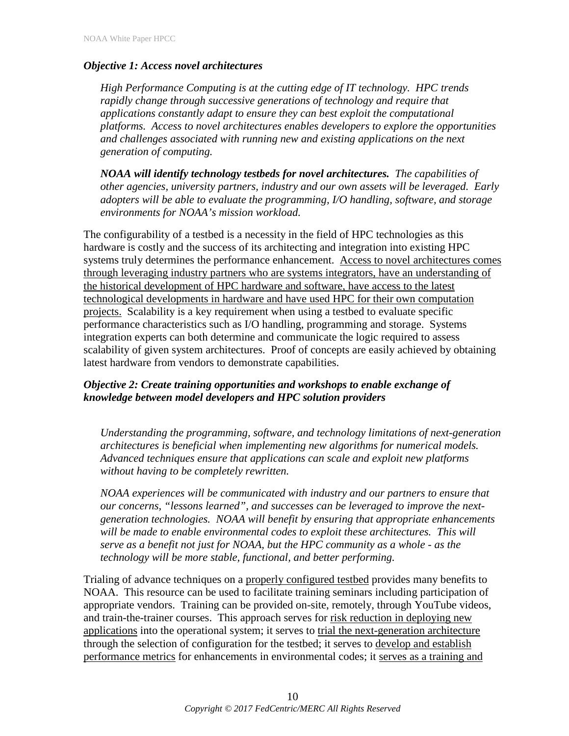## *Objective 1: Access novel architectures*

*High Performance Computing is at the cutting edge of IT technology. HPC trends rapidly change through successive generations of technology and require that applications constantly adapt to ensure they can best exploit the computational platforms. Access to novel architectures enables developers to explore the opportunities and challenges associated with running new and existing applications on the next generation of computing.*

*NOAA will identify technology testbeds for novel architectures. The capabilities of other agencies, university partners, industry and our own assets will be leveraged. Early adopters will be able to evaluate the programming, I/O handling, software, and storage environments for NOAA's mission workload.*

The configurability of a testbed is a necessity in the field of HPC technologies as this hardware is costly and the success of its architecting and integration into existing HPC systems truly determines the performance enhancement. Access to novel architectures comes through leveraging industry partners who are systems integrators, have an understanding of the historical development of HPC hardware and software, have access to the latest technological developments in hardware and have used HPC for their own computation projects. Scalability is a key requirement when using a testbed to evaluate specific performance characteristics such as I/O handling, programming and storage. Systems integration experts can both determine and communicate the logic required to assess scalability of given system architectures. Proof of concepts are easily achieved by obtaining latest hardware from vendors to demonstrate capabilities.

## *Objective 2: Create training opportunities and workshops to enable exchange of knowledge between model developers and HPC solution providers*

*Understanding the programming, software, and technology limitations of next-generation architectures is beneficial when implementing new algorithms for numerical models. Advanced techniques ensure that applications can scale and exploit new platforms without having to be completely rewritten.*

*NOAA experiences will be communicated with industry and our partners to ensure that our concerns, "lessons learned", and successes can be leveraged to improve the nextgeneration technologies. NOAA will benefit by ensuring that appropriate enhancements*  will be made to enable environmental codes to exploit these architectures. This will *serve as a benefit not just for NOAA, but the HPC community as a whole - as the technology will be more stable, functional, and better performing.*

Trialing of advance techniques on a properly configured testbed provides many benefits to NOAA. This resource can be used to facilitate training seminars including participation of appropriate vendors. Training can be provided on-site, remotely, through YouTube videos, and train-the-trainer courses. This approach serves for risk reduction in deploying new applications into the operational system; it serves to trial the next-generation architecture through the selection of configuration for the testbed; it serves to develop and establish performance metrics for enhancements in environmental codes; it serves as a training and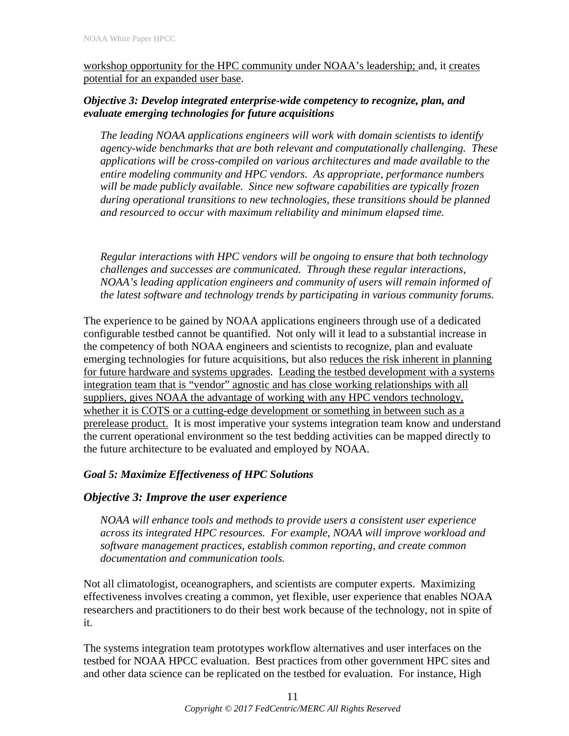workshop opportunity for the HPC community under NOAA's leadership; and, it creates potential for an expanded user base.

## *Objective 3: Develop integrated enterprise-wide competency to recognize, plan, and evaluate emerging technologies for future acquisitions*

*The leading NOAA applications engineers will work with domain scientists to identify agency-wide benchmarks that are both relevant and computationally challenging. These applications will be cross-compiled on various architectures and made available to the entire modeling community and HPC vendors. As appropriate, performance numbers will be made publicly available. Since new software capabilities are typically frozen during operational transitions to new technologies, these transitions should be planned and resourced to occur with maximum reliability and minimum elapsed time.*

*Regular interactions with HPC vendors will be ongoing to ensure that both technology challenges and successes are communicated. Through these regular interactions, NOAA's leading application engineers and community of users will remain informed of the latest software and technology trends by participating in various community forums.*

The experience to be gained by NOAA applications engineers through use of a dedicated configurable testbed cannot be quantified. Not only will it lead to a substantial increase in the competency of both NOAA engineers and scientists to recognize, plan and evaluate emerging technologies for future acquisitions, but also reduces the risk inherent in planning for future hardware and systems upgrades. Leading the testbed development with a systems integration team that is "vendor" agnostic and has close working relationships with all suppliers, gives NOAA the advantage of working with any HPC vendors technology, whether it is COTS or a cutting-edge development or something in between such as a prerelease product. It is most imperative your systems integration team know and understand the current operational environment so the test bedding activities can be mapped directly to the future architecture to be evaluated and employed by NOAA.

# *Goal 5: Maximize Effectiveness of HPC Solutions*

# *Objective 3: Improve the user experience*

*NOAA will enhance tools and methods to provide users a consistent user experience across its integrated HPC resources. For example, NOAA will improve workload and software management practices, establish common reporting, and create common documentation and communication tools.*

Not all climatologist, oceanographers, and scientists are computer experts. Maximizing effectiveness involves creating a common, yet flexible, user experience that enables NOAA researchers and practitioners to do their best work because of the technology, not in spite of it.

The systems integration team prototypes workflow alternatives and user interfaces on the testbed for NOAA HPCC evaluation. Best practices from other government HPC sites and and other data science can be replicated on the testbed for evaluation. For instance, High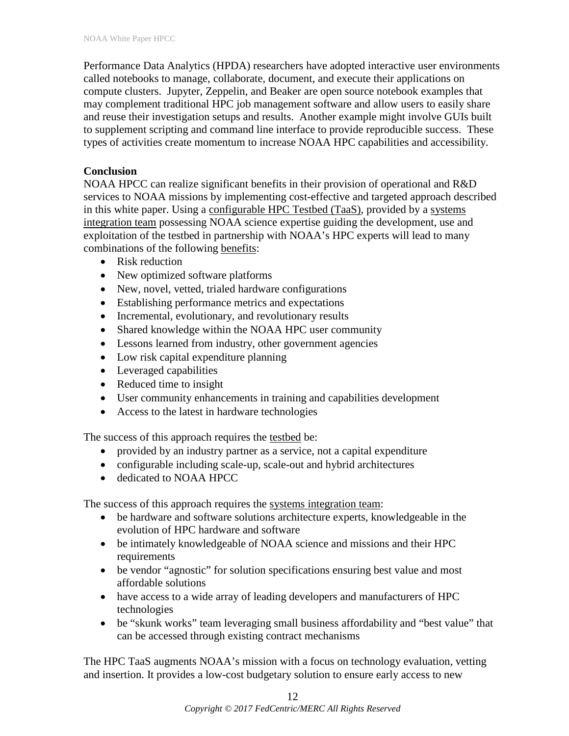Performance Data Analytics (HPDA) researchers have adopted interactive user environments called notebooks to manage, collaborate, document, and execute their applications on compute clusters. Jupyter, Zeppelin, and Beaker are open source notebook examples that may complement traditional HPC job management software and allow users to easily share and reuse their investigation setups and results. Another example might involve GUIs built to supplement scripting and command line interface to provide reproducible success. These types of activities create momentum to increase NOAA HPC capabilities and accessibility.

## **Conclusion**

NOAA HPCC can realize significant benefits in their provision of operational and R&D services to NOAA missions by implementing cost-effective and targeted approach described in this white paper. Using a configurable HPC Testbed (TaaS), provided by a systems integration team possessing NOAA science expertise guiding the development, use and exploitation of the testbed in partnership with NOAA's HPC experts will lead to many combinations of the following benefits:

- Risk reduction
- New optimized software platforms
- New, novel, vetted, trialed hardware configurations
- Establishing performance metrics and expectations
- Incremental, evolutionary, and revolutionary results
- Shared knowledge within the NOAA HPC user community
- Lessons learned from industry, other government agencies
- Low risk capital expenditure planning
- Leveraged capabilities
- Reduced time to insight
- User community enhancements in training and capabilities development
- Access to the latest in hardware technologies

The success of this approach requires the testbed be:

- provided by an industry partner as a service, not a capital expenditure
- configurable including scale-up, scale-out and hybrid architectures
- dedicated to NOAA HPCC

The success of this approach requires the systems integration team:

- be hardware and software solutions architecture experts, knowledgeable in the evolution of HPC hardware and software
- be intimately knowledgeable of NOAA science and missions and their HPC requirements
- be vendor "agnostic" for solution specifications ensuring best value and most affordable solutions
- have access to a wide array of leading developers and manufacturers of HPC technologies
- be "skunk works" team leveraging small business affordability and "best value" that can be accessed through existing contract mechanisms

The HPC TaaS augments NOAA's mission with a focus on technology evaluation, vetting and insertion. It provides a low-cost budgetary solution to ensure early access to new